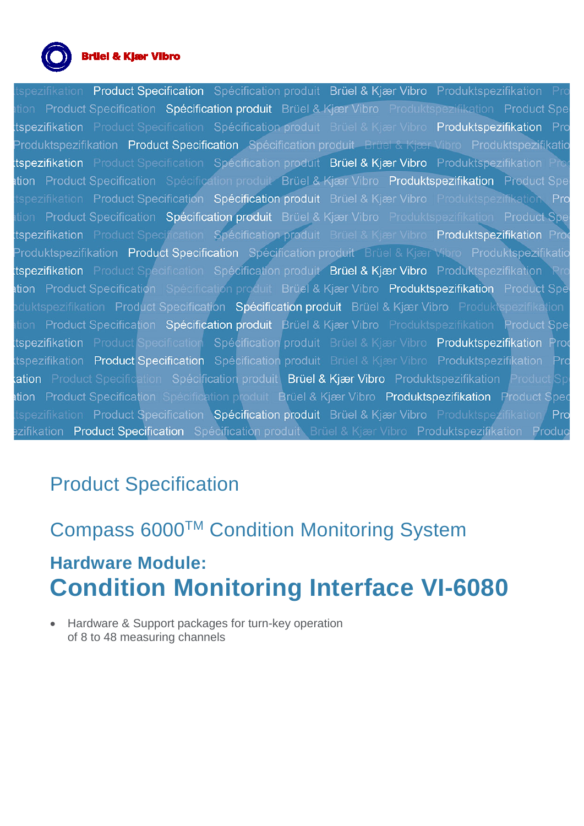

### **Brüel & Kjær Vibro**

Product Specification Spécification produit Brüel & Kjær Vibro Produktspezifikation Pi tion Product Specification Spécification produit Brüel & Kjær Vibro Produktspezifikation Product Spe tspezifikation Product Specification Spécification produit Brüel & Kjær Vibro Produktspezifikation Pro Produktspezifikation Product Specification Spécification produit Brüel & Kjær Vibro Produktspezifikatio tspezifikation Product Specification Spécification produit Brüel & Kjær Vibro Produktspezifikation Pro ttion Product Specification Spécification produit Brüel & Kjær Vibro Produktspezifikation Product Spe tspezifikation Product Specification Spécification produit Brüel & Kjær Vibro Produktspezifikation Pro Product Specification Spécification produit Brüel & Kjær Vibro Produktspezifikation Product Spe tspezifikation Product Specincation Spécification produit Brüel & Kjær Vibro Produktspezifikation Pro Produktspezifikation Product Specification Spécification produit Brüel & Kjær Vibro Produktspezifikatio tspezifikation Product Specification Spécification produit Brüel & Kjær Vibro Produktspezifikation Rr ttion Product Specification Specification produit Brüel & Kjær Vibro Produktspezifikation Product Spe duktspezifikation Product Specification Spécification produit Brüel & Kjær Vibro Produktspezifikation tion Product Specification Spécification produit Brüel & Kjær Vibro Produktspezifikation Product Spe tspezifikation Product Specification Spécification produit Brüel & Kjær Vibro Produktspezifikation Prod tspezifikation Product Specification Spécification produit Brüel & Kjær Vibro Produktspezifikation Pro ation Product Specification Spécification produit Brüel & Kjær Vibro Produktspezifikation Product Sp ttion Product Specification Spécification produit Brüel & Kjær Vibro Produktspezifikation Product Spec tspezifikation Product Specification Spécification produit Brüel & Kjær Vibro Produktspezifikation Pro zifikation Product Specification Spécification produit Brüel & Kjær Vibro Produktspezifikation Produc

# Product Specification

# Compass 6000TM Condition Monitoring System

# **Hardware Module: Condition Monitoring Interface VI-6080**

• Hardware & Support packages for turn-key operation of 8 to 48 measuring channels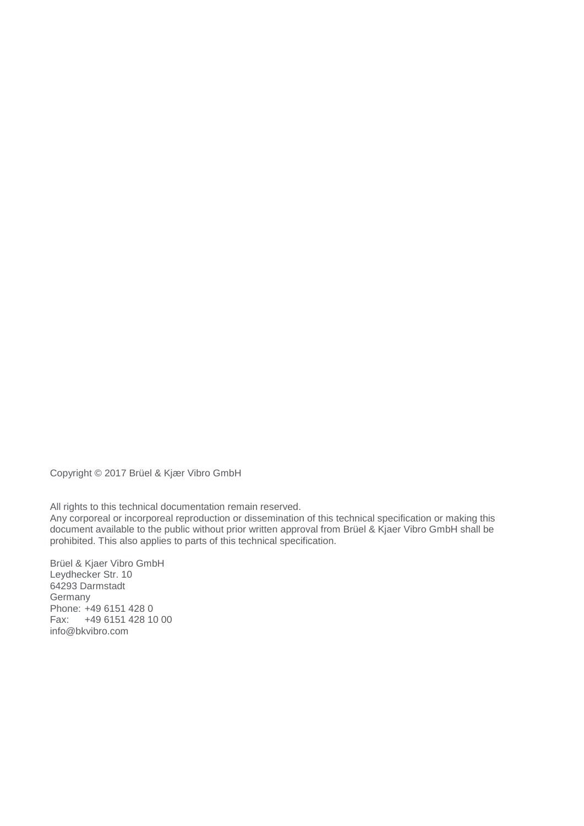Copyright © 2017 Brüel & Kjær Vibro GmbH

All rights to this technical documentation remain reserved.

Any corporeal or incorporeal reproduction or dissemination of this technical specification or making this document available to the public without prior written approval from Brüel & Kjaer Vibro GmbH shall be prohibited. This also applies to parts of this technical specification.

Brüel & Kjaer Vibro GmbH Leydhecker Str. 10 64293 Darmstadt Germany Phone: +49 6151 428 0 Fax: +49 6151 428 10 00 info@bkvibro.com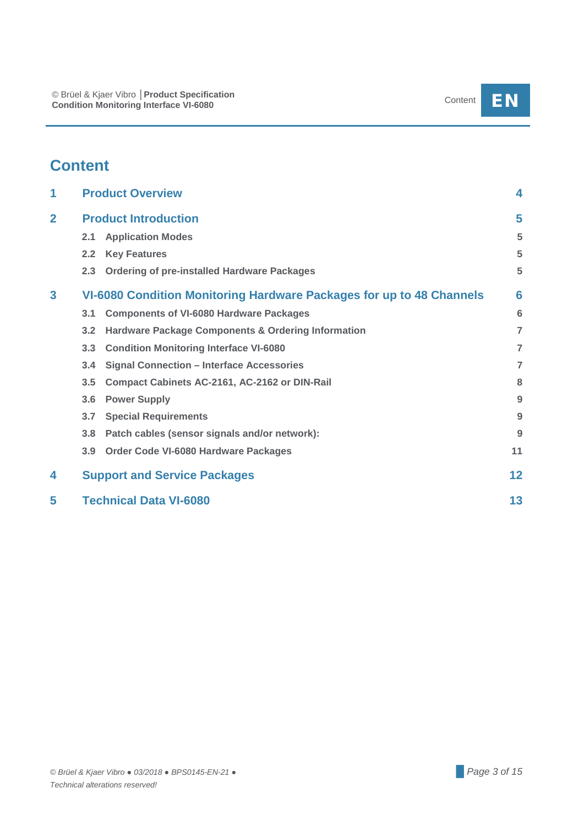## **Content**

| 1              |                  | <b>Product Overview</b>                                              | 4              |
|----------------|------------------|----------------------------------------------------------------------|----------------|
| $\overline{2}$ |                  | <b>Product Introduction</b>                                          | 5              |
|                | 2.1              | <b>Application Modes</b>                                             | 5              |
|                | 2.2              | <b>Key Features</b>                                                  | 5              |
|                | 2.3              | <b>Ordering of pre-installed Hardware Packages</b>                   | 5              |
| 3              |                  | VI-6080 Condition Monitoring Hardware Packages for up to 48 Channels | 6              |
|                | 3.1              | <b>Components of VI-6080 Hardware Packages</b>                       | 6              |
|                | 3.2              | <b>Hardware Package Components &amp; Ordering Information</b>        | $\overline{7}$ |
|                | 3.3              | <b>Condition Monitoring Interface VI-6080</b>                        | $\overline{7}$ |
|                | 3.4              | <b>Signal Connection - Interface Accessories</b>                     | $\overline{7}$ |
|                | 3.5              | Compact Cabinets AC-2161, AC-2162 or DIN-Rail                        | 8              |
|                | 3.6              | <b>Power Supply</b>                                                  | 9              |
|                | 3.7              | <b>Special Requirements</b>                                          | 9              |
|                | 3.8              | Patch cables (sensor signals and/or network):                        | 9              |
|                | 3.9 <sub>2</sub> | Order Code VI-6080 Hardware Packages                                 | 11             |
| 4              |                  | <b>Support and Service Packages</b>                                  | 12             |
| 5              |                  | <b>Technical Data VI-6080</b>                                        | 13             |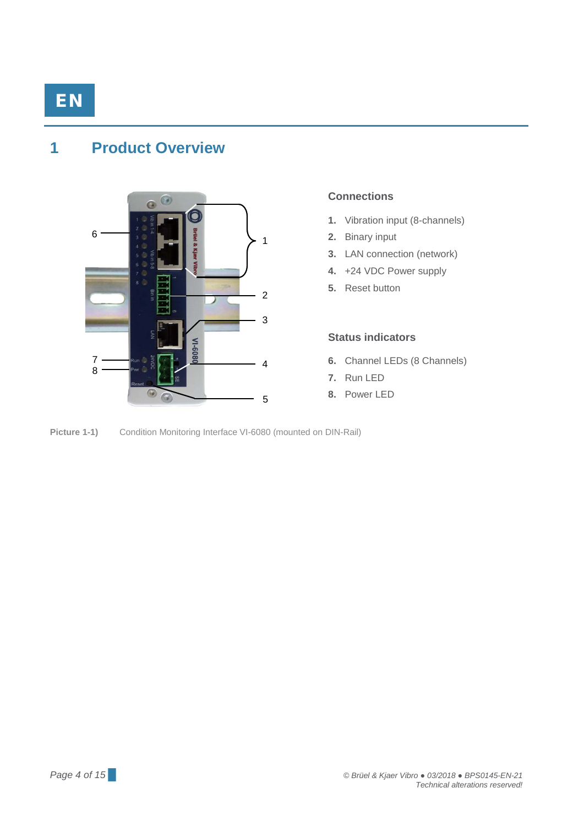### <span id="page-3-0"></span>**1 Product Overview**



#### **Connections**

- **1.** Vibration input (8-channels)
- **2.** Binary input
- **3.** LAN connection (network)
- **4.** +24 VDC Power supply
- **5.** Reset button

#### **Status indicators**

- **6.** Channel LEDs (8 Channels)
- **7.** Run LED
- **8.** Power LED

**Picture 1-1)** Condition Monitoring Interface VI-6080 (mounted on DIN-Rail)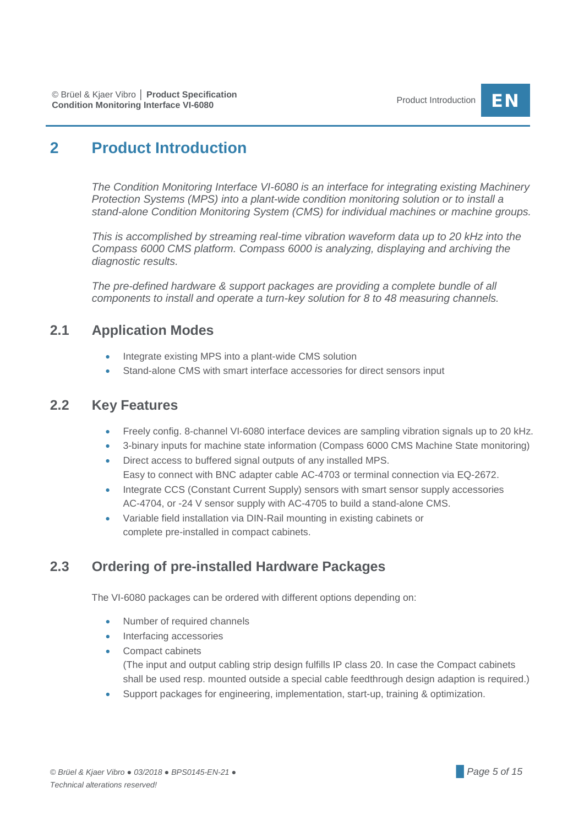## <span id="page-4-0"></span>**2 Product Introduction**

*The Condition Monitoring Interface VI-6080 is an interface for integrating existing Machinery Protection Systems (MPS) into a plant-wide condition monitoring solution or to install a stand-alone Condition Monitoring System (CMS) for individual machines or machine groups.*

*This is accomplished by streaming real-time vibration waveform data up to 20 kHz into the Compass 6000 CMS platform. Compass 6000 is analyzing, displaying and archiving the diagnostic results.*

*The pre-defined hardware & support packages are providing a complete bundle of all components to install and operate a turn-key solution for 8 to 48 measuring channels.*

### <span id="page-4-1"></span>**2.1 Application Modes**

- Integrate existing MPS into a plant-wide CMS solution
- Stand-alone CMS with smart interface accessories for direct sensors input

### <span id="page-4-2"></span>**2.2 Key Features**

- Freely config. 8-channel VI-6080 interface devices are sampling vibration signals up to 20 kHz.
- 3-binary inputs for machine state information (Compass 6000 CMS Machine State monitoring)
- Direct access to buffered signal outputs of any installed MPS. Easy to connect with BNC adapter cable AC-4703 or terminal connection via EQ-2672.
- Integrate CCS (Constant Current Supply) sensors with smart sensor supply accessories AC-4704, or -24 V sensor supply with AC-4705 to build a stand-alone CMS.
- Variable field installation via DIN-Rail mounting in existing cabinets or complete pre-installed in compact cabinets.

### <span id="page-4-3"></span>**2.3 Ordering of pre-installed Hardware Packages**

The VI-6080 packages can be ordered with different options depending on:

- Number of required channels
- Interfacing accessories
- Compact cabinets (The input and output cabling strip design fulfills IP class 20. In case the Compact cabinets shall be used resp. mounted outside a special cable feedthrough design adaption is required.)
- Support packages for engineering, implementation, start-up, training & optimization.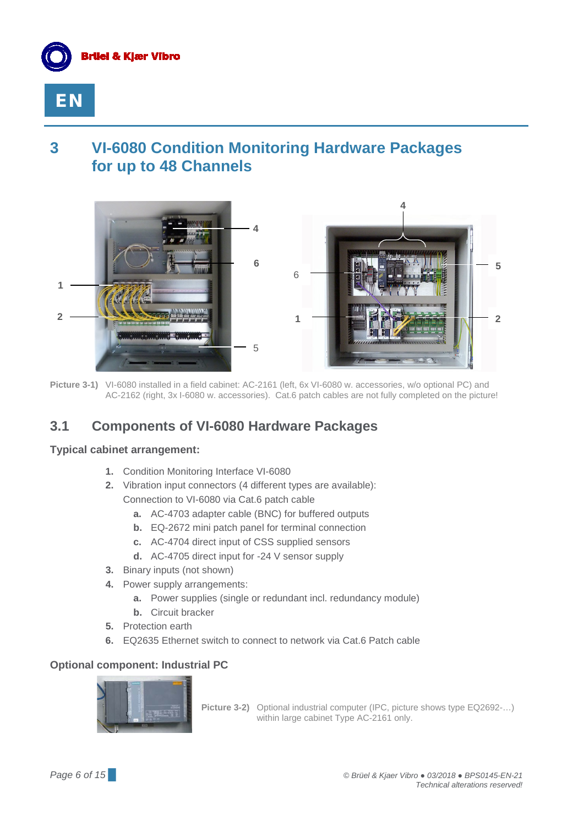



## <span id="page-5-0"></span>**3 VI-6080 Condition Monitoring Hardware Packages for up to 48 Channels**



**Picture 3-1)** VI-6080 installed in a field cabinet: AC-2161 (left, 6x VI-6080 w. accessories, w/o optional PC) and AC-2162 (right, 3x I-6080 w. accessories). Cat.6 patch cables are not fully completed on the picture!

### <span id="page-5-1"></span>**3.1 Components of VI-6080 Hardware Packages**

#### **Typical cabinet arrangement:**

- **1.** Condition Monitoring Interface VI-6080
- **2.** Vibration input connectors (4 different types are available): Connection to VI-6080 via Cat.6 patch cable
	- **a.** AC-4703 adapter cable (BNC) for buffered outputs
	- **b.** EQ-2672 mini patch panel for terminal connection
	- **c.** AC-4704 direct input of CSS supplied sensors
	- **d.** AC-4705 direct input for -24 V sensor supply
- **3.** Binary inputs (not shown)
- **4.** Power supply arrangements:
	- **a.** Power supplies (single or redundant incl. redundancy module)
	- **b.** Circuit bracker
- **5.** Protection earth
- **6.** EQ2635 Ethernet switch to connect to network via Cat.6 Patch cable

### **Optional component: Industrial PC**



**Picture 3-2)** Optional industrial computer (IPC, picture shows type EQ2692-…) within large cabinet Type AC-2161 only.

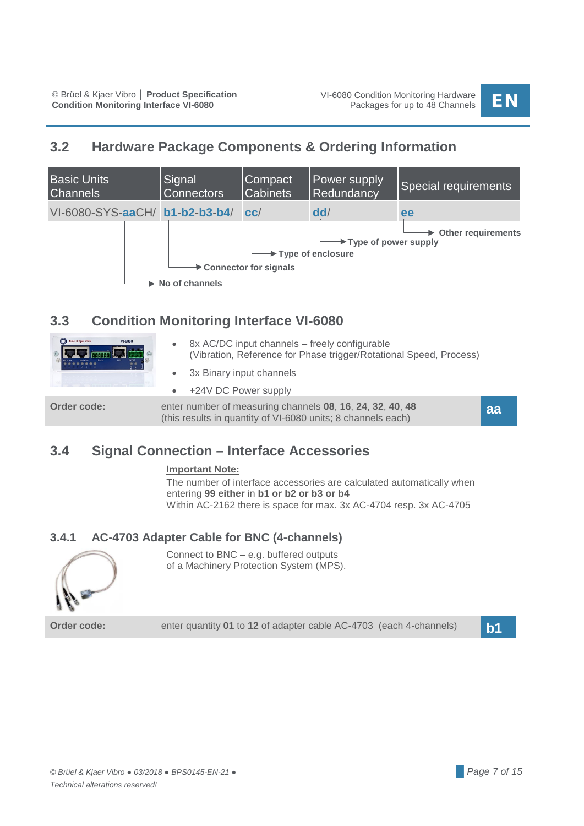### <span id="page-6-0"></span>**3.2 Hardware Package Components & Ordering Information**



### <span id="page-6-1"></span>**3.3 Condition Monitoring Interface VI-6080**

| Bruel & Kjær Vibro<br>VI-6080 | $\bullet$ | 8x AC/DC input channels – freely configurable<br>(Vibration, Reference for Phase trigger/Rotational Speed, Process)       |    |
|-------------------------------|-----------|---------------------------------------------------------------------------------------------------------------------------|----|
|                               |           | • 3x Binary input channels                                                                                                |    |
|                               |           | $\bullet$ +24V DC Power supply                                                                                            |    |
| Order code:                   |           | enter number of measuring channels 08, 16, 24, 32, 40, 48<br>(this results in quantity of VI-6080 units; 8 channels each) | aa |

### <span id="page-6-2"></span>**3.4 Signal Connection – Interface Accessories**

#### **Important Note:**

The number of interface accessories are calculated automatically when entering **99 either** in **b1 or b2 or b3 or b4** Within AC-2162 there is space for max. 3x AC-4704 resp. 3x AC-4705

### **3.4.1 AC-4703 Adapter Cable for BNC (4-channels)**



Connect to BNC – e.g. buffered outputs of a Machinery Protection System (MPS).

**Order code:** enter quantity **<sup>01</sup>** to **<sup>12</sup>** of adapter cable AC-4703 (each 4-channels) **b1**

*© Brüel & Kjaer Vibro ● 03/2018 ● BPS0145-EN-21 ● █ Page 7 of 15 Technical alterations reserved!*

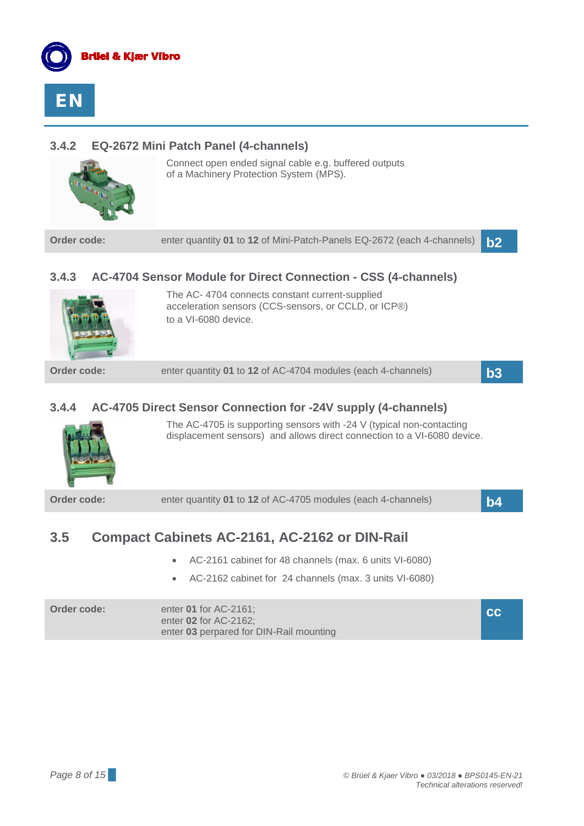



### **3.4.2 EQ-2672 Mini Patch Panel (4-channels)**



Connect open ended signal cable e.g. buffered outputs of a Machinery Protection System (MPS).

**Order code: enter quantity 01 to 12** of Mini-Patch-Panels EQ-2672 (each 4-channels) **b2** 

### **3.4.3 AC-4704 Sensor Module for Direct Connection - CSS (4-channels)**



The AC- 4704 connects constant current-supplied acceleration sensors (CCS-sensors, or CCLD, or ICP®) to a VI-6080 device.

**Order code: enter quantity 01 to 12** of AC-4704 modules (each 4-channels) **b3** 

### **3.4.4 AC-4705 Direct Sensor Connection for -24V supply (4-channels)**



The AC-4705 is supporting sensors with -24 V (typical non-contacting displacement sensors) and allows direct connection to a VI-6080 device.

**Order code: enter quantity 01 to 12** of AC-4705 modules (each 4-channels) **b4** 

### <span id="page-7-0"></span>**3.5 Compact Cabinets AC-2161, AC-2162 or DIN-Rail**

- AC-2161 cabinet for 48 channels (max. 6 units VI-6080)
- AC-2162 cabinet for 24 channels (max. 3 units VI-6080)

| Order code: | enter <b>01</b> for AC-2161;<br>enter 02 for AC-2162: | I CCI |
|-------------|-------------------------------------------------------|-------|
|             | enter 03 perpared for DIN-Rail mounting               |       |

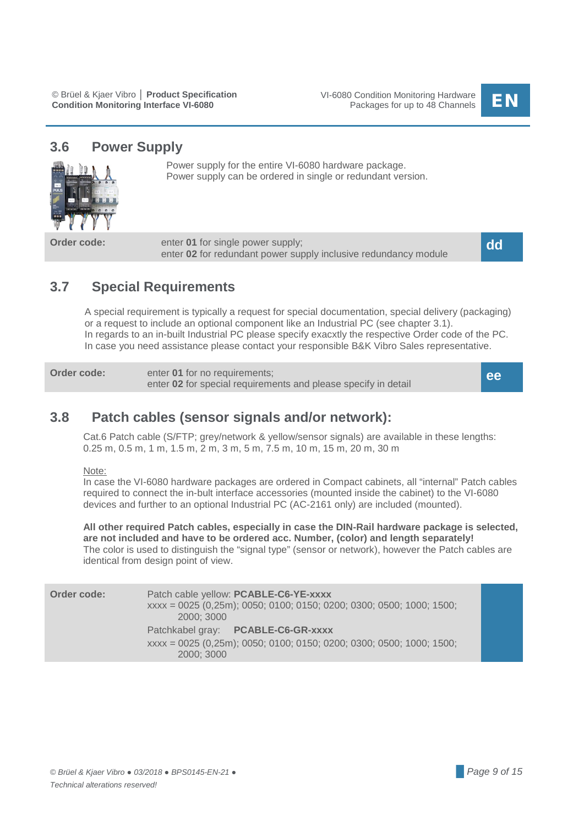

### <span id="page-8-0"></span>**3.6 Power Supply**



Power supply for the entire VI-6080 hardware package. Power supply can be ordered in single or redundant version.

**Order code:** enter **01** for single power supply; enter **02** for redundant power supply inclusive redundancy module

**dd**

### <span id="page-8-1"></span>**3.7 Special Requirements**

A special requirement is typically a request for special documentation, special delivery (packaging) or a request to include an optional component like an Industrial PC (see chapter 3.1). In regards to an in-built Industrial PC please specify exacxtly the respective Order code of the PC. In case you need assistance please contact your responsible B&K Vibro Sales representative.

**Order code:** enter **01** for no requirements; enter **02** for special requirements and please specify in detail

**ee**

### <span id="page-8-2"></span>**3.8 Patch cables (sensor signals and/or network):**

Cat.6 Patch cable (S/FTP; grey/network & yellow/sensor signals) are available in these lengths: 0.25 m, 0.5 m, 1 m, 1.5 m, 2 m, 3 m, 5 m, 7.5 m, 10 m, 15 m, 20 m, 30 m

#### Note:

In case the VI-6080 hardware packages are ordered in Compact cabinets, all "internal" Patch cables required to connect the in-bult interface accessories (mounted inside the cabinet) to the VI-6080 devices and further to an optional Industrial PC (AC-2161 only) are included (mounted).

**All other required Patch cables, especially in case the DIN-Rail hardware package is selected, are not included and have to be ordered acc. Number, (color) and length separately!** The color is used to distinguish the "signal type" (sensor or network), however the Patch cables are identical from design point of view.

| Order code: | Patch cable yellow: PCABLE-C6-YE-xxxx<br>xxxx = 0025 (0,25m); 0050; 0100; 0150; 0200; 0300; 0500; 1000; 1500;<br>2000: 3000 |  |
|-------------|-----------------------------------------------------------------------------------------------------------------------------|--|
|             | Patchkabel gray: PCABLE-C6-GR-xxxx<br>xxxx = 0025 (0,25m); 0050; 0100; 0150; 0200; 0300; 0500; 1000; 1500;<br>2000: 3000    |  |
|             |                                                                                                                             |  |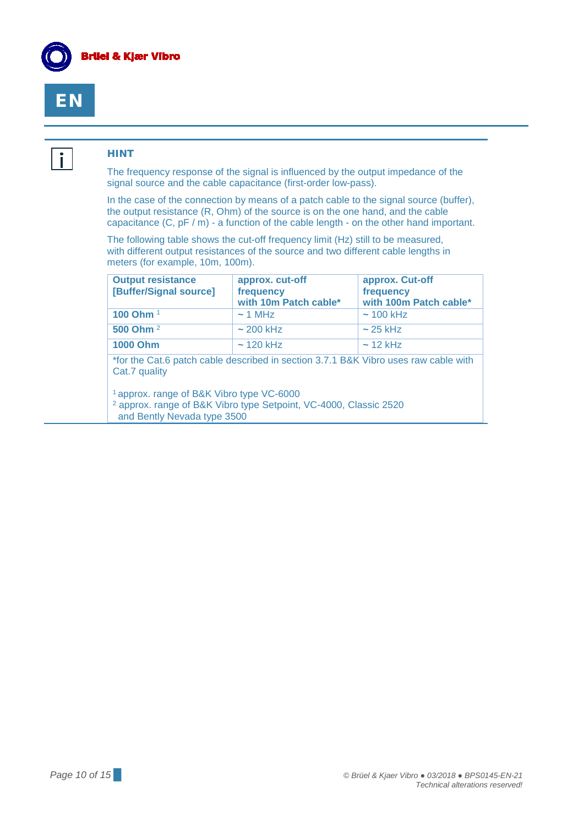



i.

#### **HINT**

The frequency response of the signal is influenced by the output impedance of the signal source and the cable capacitance (first-order low-pass).

In the case of the connection by means of a patch cable to the signal source (buffer), the output resistance (R, Ohm) of the source is on the one hand, and the cable capacitance (C, pF / m) - a function of the cable length - on the other hand important.

The following table shows the cut-off frequency limit (Hz) still to be measured, with different output resistances of the source and two different cable lengths in meters (for example, 10m, 100m).

| <b>Output resistance</b><br>[Buffer/Signal source]                                                                                                                                                                                           | approx. cut-off<br>frequency<br>with 10m Patch cable* | approx. Cut-off<br>frequency<br>with 100m Patch cable* |  |  |  |  |  |
|----------------------------------------------------------------------------------------------------------------------------------------------------------------------------------------------------------------------------------------------|-------------------------------------------------------|--------------------------------------------------------|--|--|--|--|--|
| 100 Ohm <sup>1</sup>                                                                                                                                                                                                                         | $\sim$ 1 MHz                                          | $\sim$ 100 kHz                                         |  |  |  |  |  |
| 500 Ohm <sup>2</sup>                                                                                                                                                                                                                         | $\sim$ 200 kHz                                        | $\sim$ 25 kHz                                          |  |  |  |  |  |
| <b>1000 Ohm</b>                                                                                                                                                                                                                              | $\sim$ 120 kHz                                        | $\sim$ 12 kHz                                          |  |  |  |  |  |
| *for the Cat.6 patch cable described in section 3.7.1 B&K Vibro uses raw cable with<br>Cat.7 quality<br><sup>1</sup> approx. range of B&K Vibro type VC-6000<br><sup>2</sup> approx. range of B&K Vibro type Setpoint, VC-4000, Classic 2520 |                                                       |                                                        |  |  |  |  |  |
| and Bently Nevada type 3500                                                                                                                                                                                                                  |                                                       |                                                        |  |  |  |  |  |

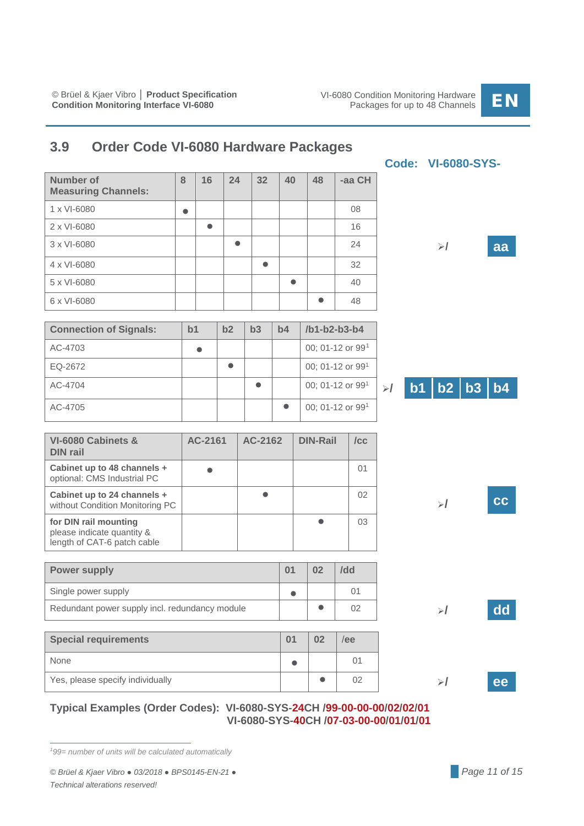### <span id="page-10-0"></span>**3.9 Order Code VI-6080 Hardware Packages**

| <b>Number of</b><br><b>Measuring Channels:</b> | 8         | 16        | 24        | 32        | 40        | 48        | -aa CH |    |    |
|------------------------------------------------|-----------|-----------|-----------|-----------|-----------|-----------|--------|----|----|
| 1 x VI-6080                                    | $\bullet$ |           |           |           |           |           | 08     |    |    |
| 2 x VI-6080                                    |           | $\bullet$ |           |           |           |           | 16     |    |    |
| 3 x VI-6080                                    |           |           | $\bullet$ |           |           |           | 24     | ≻/ | aa |
| 4 x VI-6080                                    |           |           |           | $\bullet$ |           |           | 32     |    |    |
| 5 x VI-6080                                    |           |           |           |           | $\bullet$ |           | 40     |    |    |
| 6 x VI-6080                                    |           |           |           |           |           | $\bullet$ | 48     |    |    |

| <b>Connection of Signals:</b> | b1 | b2 | b3 | b4 | /b1-b2-b3-b4     |
|-------------------------------|----|----|----|----|------------------|
| AC-4703                       |    |    |    |    | 00; 01-12 or 991 |
| EQ-2672                       |    |    |    |    | 00; 01-12 or 991 |
| AC-4704                       |    |    |    |    | 00; 01-12 or 991 |
| AC-4705                       |    |    |    |    | 00; 01-12 or 991 |

| b1   b2   b3   b4 |
|-------------------|
|-------------------|

**/ cc**

**Code: VI-6080-SYS-**

| VI-6080 Cabinets &<br><b>DIN rail</b>                                              | AC-2161 | AC-2162 | <b>DIN-Rail</b> | /CC |
|------------------------------------------------------------------------------------|---------|---------|-----------------|-----|
| Cabinet up to 48 channels +<br>optional: CMS Industrial PC                         |         |         |                 | ()  |
| Cabinet up to 24 channels +<br>without Condition Monitoring PC                     |         |         |                 | 02  |
| for DIN rail mounting<br>please indicate quantity &<br>length of CAT-6 patch cable |         |         |                 | 03  |

| <b>Power supply</b>                            | 02 | /dd |    |
|------------------------------------------------|----|-----|----|
| Single power supply                            |    |     |    |
| Redundant power supply incl. redundancy module |    | 02  | dd |

| <b>Special requirements</b>      | 02 | ee |  |
|----------------------------------|----|----|--|
| None                             |    | 01 |  |
| Yes, please specify individually |    | 02 |  |

### **Typical Examples (Order Codes): VI-6080-SYS-24CH /99-00-00-00/02/02/01 VI-6080-SYS-40CH /07-03-00-00/01/01/01**

<span id="page-10-1"></span>*1 99= number of units will be calculated automatically*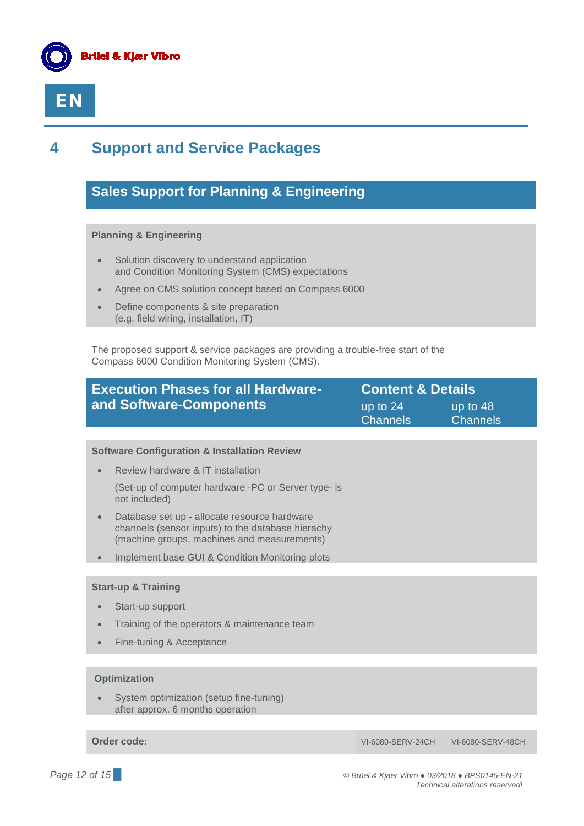



## <span id="page-11-0"></span>**4 Support and Service Packages**

### **Sales Support for Planning & Engineering**

#### **Planning & Engineering**

- Solution discovery to understand application and Condition Monitoring System (CMS) expectations
- Agree on CMS solution concept based on Compass 6000
- Define components & site preparation (e.g. field wiring, installation, IT)

The proposed support & service packages are providing a trouble-free start of the Compass 6000 Condition Monitoring System (CMS).

| <b>Execution Phases for all Hardware-</b>                                                                                                        | <b>Content &amp; Details</b>  |                             |
|--------------------------------------------------------------------------------------------------------------------------------------------------|-------------------------------|-----------------------------|
| and Software-Components                                                                                                                          | up to $24$<br><b>Channels</b> | up to 48<br><b>Channels</b> |
|                                                                                                                                                  |                               |                             |
| <b>Software Configuration &amp; Installation Review</b>                                                                                          |                               |                             |
| Review hardware & IT installation                                                                                                                |                               |                             |
| (Set-up of computer hardware -PC or Server type- is<br>not included)                                                                             |                               |                             |
| Database set up - allocate resource hardware<br>channels (sensor inputs) to the database hierachy<br>(machine groups, machines and measurements) |                               |                             |
| Implement base GUI & Condition Monitoring plots                                                                                                  |                               |                             |
|                                                                                                                                                  |                               |                             |
| <b>Start-up &amp; Training</b>                                                                                                                   |                               |                             |
| Start-up support                                                                                                                                 |                               |                             |
| Training of the operators & maintenance team                                                                                                     |                               |                             |
| Fine-tuning & Acceptance<br>$\bullet$                                                                                                            |                               |                             |
|                                                                                                                                                  |                               |                             |
| <b>Optimization</b>                                                                                                                              |                               |                             |
| System optimization (setup fine-tuning)<br>after approx. 6 months operation                                                                      |                               |                             |
|                                                                                                                                                  |                               |                             |
| Order code:                                                                                                                                      | VI-6080-SERV-24CH             | VI-6080-SERV-48CH           |

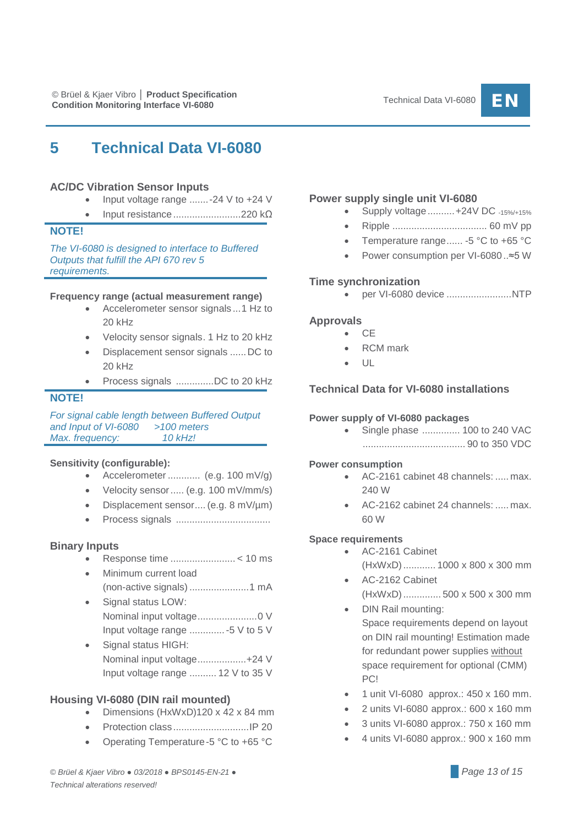### <span id="page-12-0"></span>**5 Technical Data VI-6080**

#### **AC/DC Vibration Sensor Inputs**

- Input voltage range .......-24 V to +24 V
- Input resistance.........................220 kΩ

#### **NOTE!**

*The VI-6080 is designed to interface to Buffered Outputs that fulfill the API 670 rev 5 requirements.*

#### **Frequency range (actual measurement range)**

- Accelerometer sensor signals ...1 Hz to 20 kHz
- Velocity sensor signals. 1 Hz to 20 kHz
- Displacement sensor signals ......DC to 20 kHz
- Process signals ..............DC to 20 kHz

#### **NOTE!**

*For signal cable length between Buffered Output and Input of VI-6080* > 100 *metersand Input of VI-6080* > 10 *kHz! Max. frequency:* 

#### **Sensitivity (configurable):**

- Accelerometer ............ (e.g. 100 mV/g)
- Velocity sensor..... (e.g. 100 mV/mm/s)
- Displacement sensor.... (e.g. 8 mV/µm)
- Process signals ...................................

#### **Binary Inputs**

- Response time ........................ < 10 ms
- Minimum current load (non-active signals) ......................1 mA
- Signal status LOW: Nominal input voltage......................0 V Input voltage range .............-5 V to 5 V
- Signal status HIGH: Nominal input voltage..................+24 V Input voltage range .......... 12 V to 35 V

#### **Housing VI-6080 (DIN rail mounted)**

- Dimensions (HxWxD)120 x 42 x 84 mm
- Protection class ............................IP 20
- Operating Temperature-5 °C to +65 °C

#### **Power supply single unit VI-6080**

- Supply voltage..........+24V DC -15%/+15%
- Ripple ................................... 60 mV pp
- Temperature range...... -5 °C to +65 °C
- Power consumption per VI-6080 ..≈5 W

#### **Time synchronization**

• per VI-6080 device ........................NTP

#### **Approvals**

- CE
- RCM mark
- $| \cdot |$

#### **Technical Data for VI-6080 installations**

#### **Power supply of VI-6080 packages**

• Single phase .............. 100 to 240 VAC ...................................... 90 to 350 VDC

#### **Power consumption**

- AC-2161 cabinet 48 channels: ..... max. 240 W
- AC-2162 cabinet 24 channels: ..... max. 60 W

#### **Space requirements**

- AC-2161 Cabinet (HxWxD)............ 1000 x 800 x 300 mm
- AC-2162 Cabinet (HxWxD).............. 500 x 500 x 300 mm
- DIN Rail mounting: Space requirements depend on layout on DIN rail mounting! Estimation made for redundant power supplies without space requirement for optional (CMM) PC!
- 1 unit VI-6080 approx.: 450 x 160 mm.
- 2 units VI-6080 approx.: 600 x 160 mm
- 3 units VI-6080 approx.: 750 x 160 mm
- 4 units VI-6080 approx.: 900 x 160 mm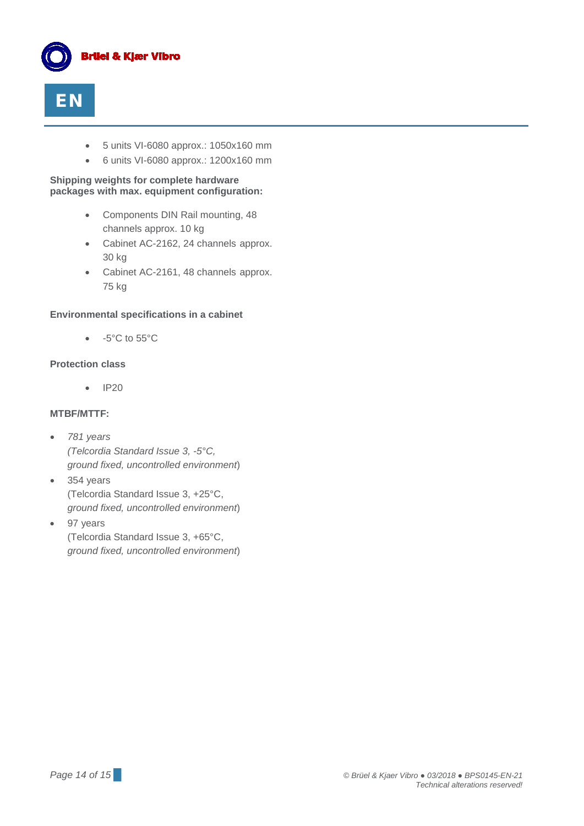



- 5 units VI-6080 approx.: 1050x160 mm
- 6 units VI-6080 approx.: 1200x160 mm

**Shipping weights for complete hardware packages with max. equipment configuration:**

- Components DIN Rail mounting, 48 channels approx. 10 kg
- Cabinet AC-2162, 24 channels approx. 30 kg
- Cabinet AC-2161, 48 channels approx. 75 kg

#### **Environmental specifications in a cabinet**

• -5°C to 55°C

#### **Protection class**

• IP20

#### **MTBF/MTTF:**

- *781 years (Telcordia Standard Issue 3, -5°C, ground fixed, uncontrolled environment*)
- 354 years (Telcordia Standard Issue 3, +25°C, *ground fixed, uncontrolled environment*)
- 97 years (Telcordia Standard Issue 3, +65°C, *ground fixed, uncontrolled environment*)